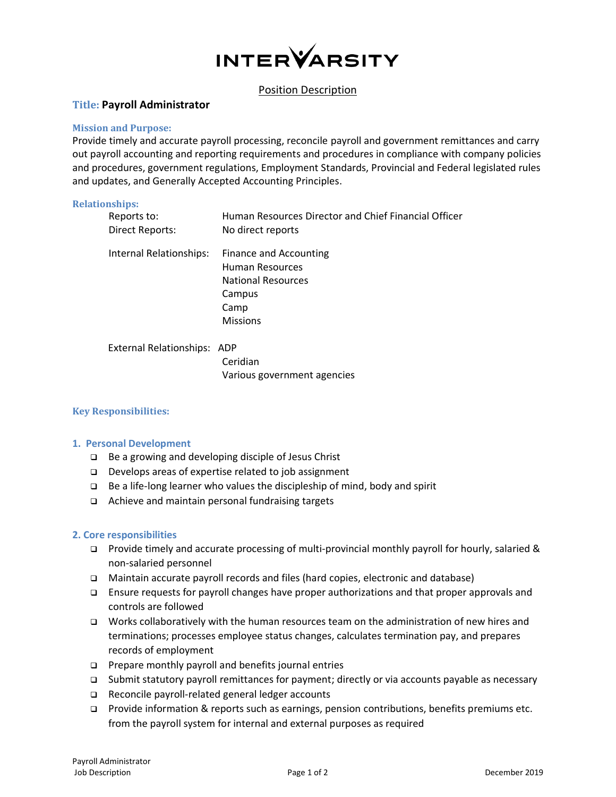

# Position Description

# **Title: Payroll Administrator**

# **Mission and Purpose:**

Provide timely and accurate payroll processing, reconcile payroll and government remittances and carry out payroll accounting and reporting requirements and procedures in compliance with company policies and procedures, government regulations, Employment Standards, Provincial and Federal legislated rules and updates, and Generally Accepted Accounting Principles.

#### **Relationships:**

| Reports to:<br><b>Direct Reports:</b> | Human Resources Director and Chief Financial Officer<br>No direct reports                                          |
|---------------------------------------|--------------------------------------------------------------------------------------------------------------------|
| Internal Relationships:               | <b>Finance and Accounting</b><br>Human Resources<br><b>National Resources</b><br>Campus<br>Camp<br><b>Missions</b> |
| External Relationships: ADP           |                                                                                                                    |

Ceridian Various government agencies

# **Key Responsibilities:**

# **1. Personal Development**

- ❑ Be a growing and developing disciple of Jesus Christ
- ❑ Develops areas of expertise related to job assignment
- ❑ Be a life-long learner who values the discipleship of mind, body and spirit
- ❑ Achieve and maintain personal fundraising targets

# **2. Core responsibilities**

- ❑ Provide timely and accurate processing of multi-provincial monthly payroll for hourly, salaried & non-salaried personnel
- ❑ Maintain accurate payroll records and files (hard copies, electronic and database)
- ❑ Ensure requests for payroll changes have proper authorizations and that proper approvals and controls are followed
- ❑ Works collaboratively with the human resources team on the administration of new hires and terminations; processes employee status changes, calculates termination pay, and prepares records of employment
- ❑ Prepare monthly payroll and benefits journal entries
- ❑ Submit statutory payroll remittances for payment; directly or via accounts payable as necessary
- ❑ Reconcile payroll-related general ledger accounts
- ❑ Provide information & reports such as earnings, pension contributions, benefits premiums etc. from the payroll system for internal and external purposes as required